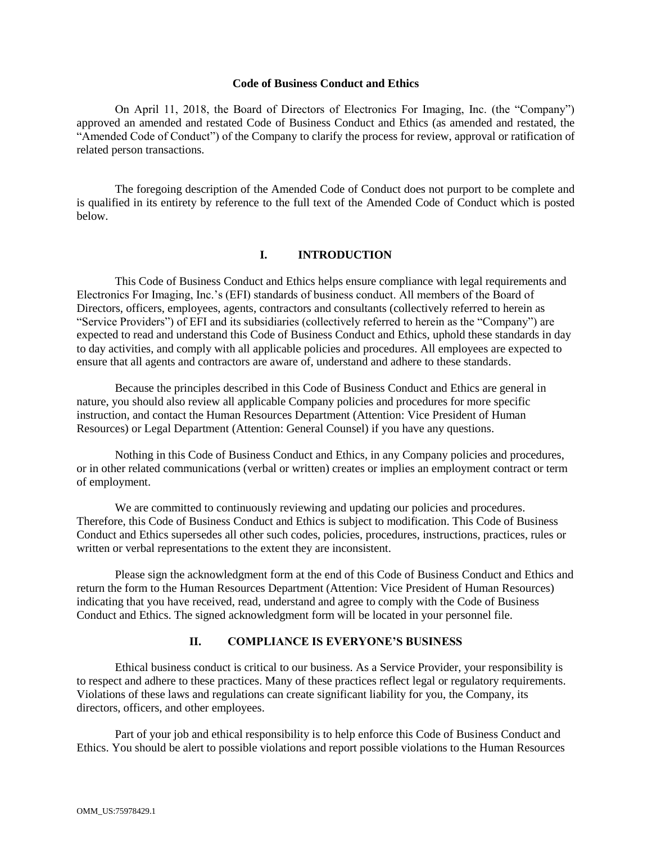## **Code of Business Conduct and Ethics**

On April 11, 2018, the Board of Directors of Electronics For Imaging, Inc. (the "Company") approved an amended and restated Code of Business Conduct and Ethics (as amended and restated, the "Amended Code of Conduct") of the Company to clarify the process for review, approval or ratification of related person transactions.

The foregoing description of the Amended Code of Conduct does not purport to be complete and is qualified in its entirety by reference to the full text of the Amended Code of Conduct which is posted below.

## **I. INTRODUCTION**

This Code of Business Conduct and Ethics helps ensure compliance with legal requirements and Electronics For Imaging, Inc.'s (EFI) standards of business conduct. All members of the Board of Directors, officers, employees, agents, contractors and consultants (collectively referred to herein as "Service Providers") of EFI and its subsidiaries (collectively referred to herein as the "Company") are expected to read and understand this Code of Business Conduct and Ethics, uphold these standards in day to day activities, and comply with all applicable policies and procedures. All employees are expected to ensure that all agents and contractors are aware of, understand and adhere to these standards.

Because the principles described in this Code of Business Conduct and Ethics are general in nature, you should also review all applicable Company policies and procedures for more specific instruction, and contact the Human Resources Department (Attention: Vice President of Human Resources) or Legal Department (Attention: General Counsel) if you have any questions.

Nothing in this Code of Business Conduct and Ethics, in any Company policies and procedures, or in other related communications (verbal or written) creates or implies an employment contract or term of employment.

We are committed to continuously reviewing and updating our policies and procedures. Therefore, this Code of Business Conduct and Ethics is subject to modification. This Code of Business Conduct and Ethics supersedes all other such codes, policies, procedures, instructions, practices, rules or written or verbal representations to the extent they are inconsistent.

Please sign the acknowledgment form at the end of this Code of Business Conduct and Ethics and return the form to the Human Resources Department (Attention: Vice President of Human Resources) indicating that you have received, read, understand and agree to comply with the Code of Business Conduct and Ethics. The signed acknowledgment form will be located in your personnel file.

## **II. COMPLIANCE IS EVERYONE'S BUSINESS**

Ethical business conduct is critical to our business. As a Service Provider, your responsibility is to respect and adhere to these practices. Many of these practices reflect legal or regulatory requirements. Violations of these laws and regulations can create significant liability for you, the Company, its directors, officers, and other employees.

Part of your job and ethical responsibility is to help enforce this Code of Business Conduct and Ethics. You should be alert to possible violations and report possible violations to the Human Resources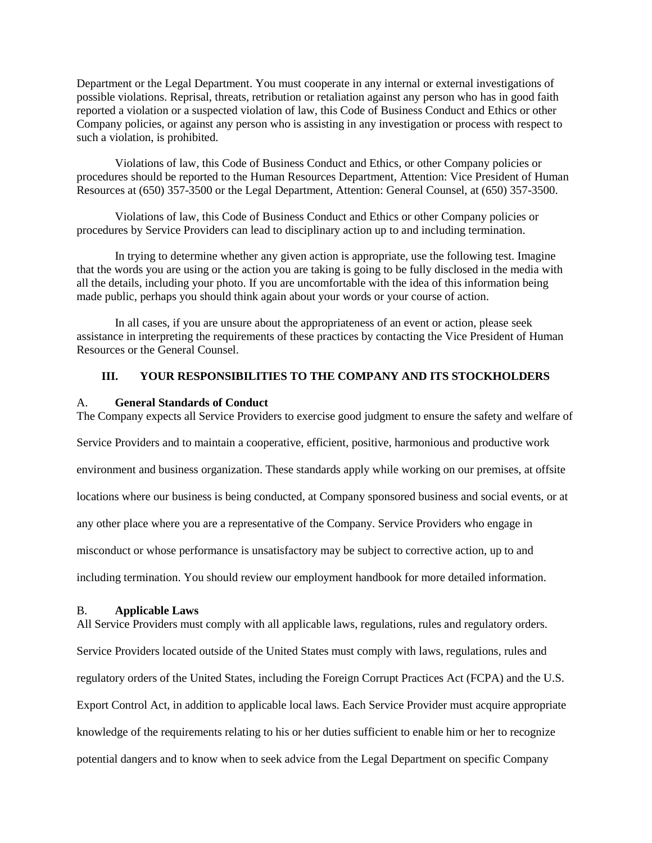Department or the Legal Department. You must cooperate in any internal or external investigations of possible violations. Reprisal, threats, retribution or retaliation against any person who has in good faith reported a violation or a suspected violation of law, this Code of Business Conduct and Ethics or other Company policies, or against any person who is assisting in any investigation or process with respect to such a violation, is prohibited.

Violations of law, this Code of Business Conduct and Ethics, or other Company policies or procedures should be reported to the Human Resources Department, Attention: Vice President of Human Resources at (650) 357-3500 or the Legal Department, Attention: General Counsel, at (650) 357-3500.

Violations of law, this Code of Business Conduct and Ethics or other Company policies or procedures by Service Providers can lead to disciplinary action up to and including termination.

In trying to determine whether any given action is appropriate, use the following test. Imagine that the words you are using or the action you are taking is going to be fully disclosed in the media with all the details, including your photo. If you are uncomfortable with the idea of this information being made public, perhaps you should think again about your words or your course of action.

In all cases, if you are unsure about the appropriateness of an event or action, please seek assistance in interpreting the requirements of these practices by contacting the Vice President of Human Resources or the General Counsel.

## **III. YOUR RESPONSIBILITIES TO THE COMPANY AND ITS STOCKHOLDERS**

## A. **General Standards of Conduct**

The Company expects all Service Providers to exercise good judgment to ensure the safety and welfare of

Service Providers and to maintain a cooperative, efficient, positive, harmonious and productive work

environment and business organization. These standards apply while working on our premises, at offsite

locations where our business is being conducted, at Company sponsored business and social events, or at

any other place where you are a representative of the Company. Service Providers who engage in

misconduct or whose performance is unsatisfactory may be subject to corrective action, up to and

including termination. You should review our employment handbook for more detailed information.

## B. **Applicable Laws**

All Service Providers must comply with all applicable laws, regulations, rules and regulatory orders. Service Providers located outside of the United States must comply with laws, regulations, rules and regulatory orders of the United States, including the Foreign Corrupt Practices Act (FCPA) and the U.S. Export Control Act, in addition to applicable local laws. Each Service Provider must acquire appropriate knowledge of the requirements relating to his or her duties sufficient to enable him or her to recognize potential dangers and to know when to seek advice from the Legal Department on specific Company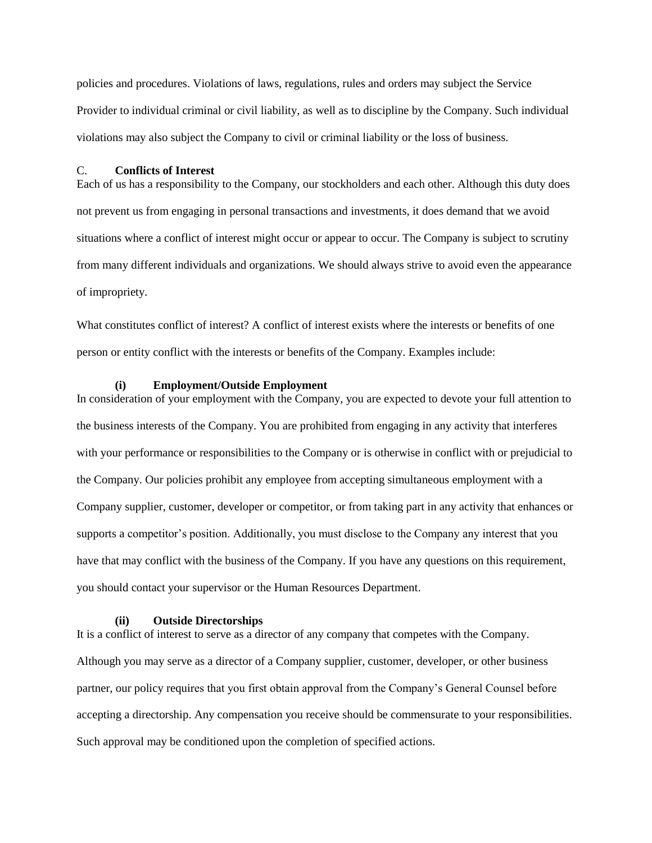policies and procedures. Violations of laws, regulations, rules and orders may subject the Service Provider to individual criminal or civil liability, as well as to discipline by the Company. Such individual violations may also subject the Company to civil or criminal liability or the loss of business.

## C. **Conflicts of Interest**

Each of us has a responsibility to the Company, our stockholders and each other. Although this duty does not prevent us from engaging in personal transactions and investments, it does demand that we avoid situations where a conflict of interest might occur or appear to occur. The Company is subject to scrutiny from many different individuals and organizations. We should always strive to avoid even the appearance of impropriety.

What constitutes conflict of interest? A conflict of interest exists where the interests or benefits of one person or entity conflict with the interests or benefits of the Company. Examples include:

#### **(i) Employment/Outside Employment**

In consideration of your employment with the Company, you are expected to devote your full attention to the business interests of the Company. You are prohibited from engaging in any activity that interferes with your performance or responsibilities to the Company or is otherwise in conflict with or prejudicial to the Company. Our policies prohibit any employee from accepting simultaneous employment with a Company supplier, customer, developer or competitor, or from taking part in any activity that enhances or supports a competitor's position. Additionally, you must disclose to the Company any interest that you have that may conflict with the business of the Company. If you have any questions on this requirement, you should contact your supervisor or the Human Resources Department.

#### **(ii) Outside Directorships**

It is a conflict of interest to serve as a director of any company that competes with the Company. Although you may serve as a director of a Company supplier, customer, developer, or other business partner, our policy requires that you first obtain approval from the Company's General Counsel before accepting a directorship. Any compensation you receive should be commensurate to your responsibilities. Such approval may be conditioned upon the completion of specified actions.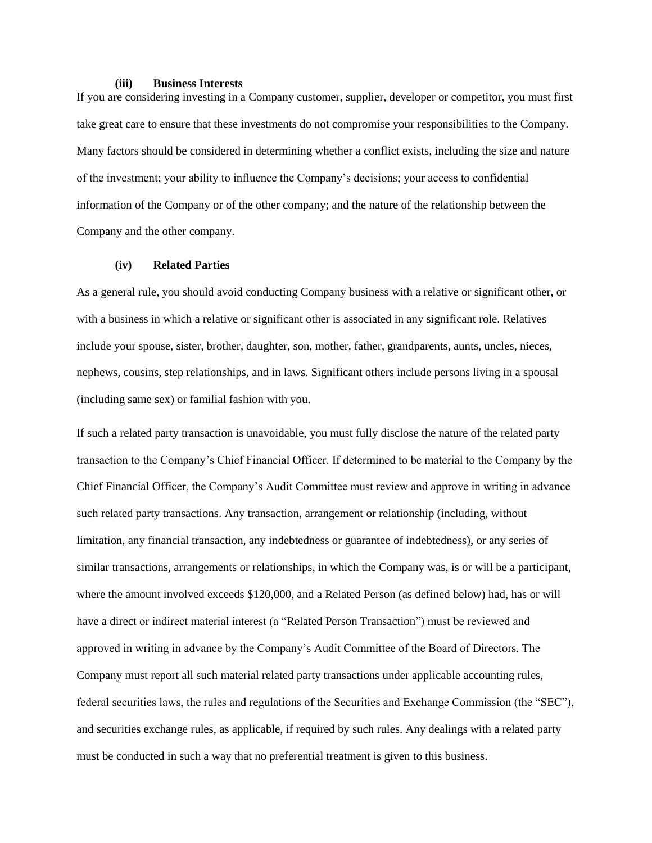#### **(iii) Business Interests**

If you are considering investing in a Company customer, supplier, developer or competitor, you must first take great care to ensure that these investments do not compromise your responsibilities to the Company. Many factors should be considered in determining whether a conflict exists, including the size and nature of the investment; your ability to influence the Company's decisions; your access to confidential information of the Company or of the other company; and the nature of the relationship between the Company and the other company.

## **(iv) Related Parties**

As a general rule, you should avoid conducting Company business with a relative or significant other, or with a business in which a relative or significant other is associated in any significant role. Relatives include your spouse, sister, brother, daughter, son, mother, father, grandparents, aunts, uncles, nieces, nephews, cousins, step relationships, and in laws. Significant others include persons living in a spousal (including same sex) or familial fashion with you.

If such a related party transaction is unavoidable, you must fully disclose the nature of the related party transaction to the Company's Chief Financial Officer. If determined to be material to the Company by the Chief Financial Officer, the Company's Audit Committee must review and approve in writing in advance such related party transactions. Any transaction, arrangement or relationship (including, without limitation, any financial transaction, any indebtedness or guarantee of indebtedness), or any series of similar transactions, arrangements or relationships, in which the Company was, is or will be a participant, where the amount involved exceeds \$120,000, and a Related Person (as defined below) had, has or will have a direct or indirect material interest (a "Related Person Transaction") must be reviewed and approved in writing in advance by the Company's Audit Committee of the Board of Directors. The Company must report all such material related party transactions under applicable accounting rules, federal securities laws, the rules and regulations of the Securities and Exchange Commission (the "SEC"), and securities exchange rules, as applicable, if required by such rules. Any dealings with a related party must be conducted in such a way that no preferential treatment is given to this business.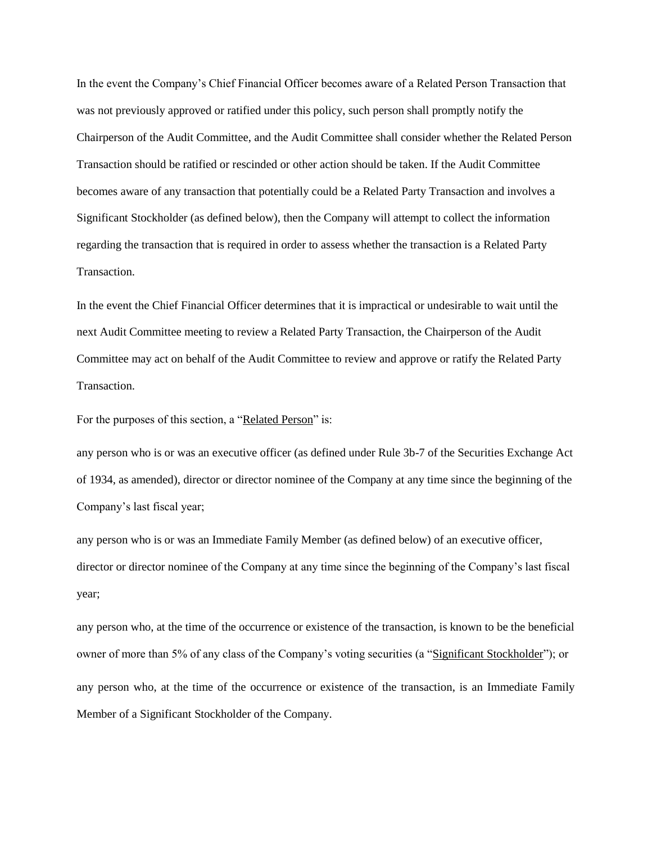In the event the Company's Chief Financial Officer becomes aware of a Related Person Transaction that was not previously approved or ratified under this policy, such person shall promptly notify the Chairperson of the Audit Committee, and the Audit Committee shall consider whether the Related Person Transaction should be ratified or rescinded or other action should be taken. If the Audit Committee becomes aware of any transaction that potentially could be a Related Party Transaction and involves a Significant Stockholder (as defined below), then the Company will attempt to collect the information regarding the transaction that is required in order to assess whether the transaction is a Related Party Transaction.

In the event the Chief Financial Officer determines that it is impractical or undesirable to wait until the next Audit Committee meeting to review a Related Party Transaction, the Chairperson of the Audit Committee may act on behalf of the Audit Committee to review and approve or ratify the Related Party Transaction.

For the purposes of this section, a "Related Person" is:

any person who is or was an executive officer (as defined under Rule 3b-7 of the Securities Exchange Act of 1934, as amended), director or director nominee of the Company at any time since the beginning of the Company's last fiscal year;

any person who is or was an Immediate Family Member (as defined below) of an executive officer, director or director nominee of the Company at any time since the beginning of the Company's last fiscal year;

any person who, at the time of the occurrence or existence of the transaction, is known to be the beneficial owner of more than 5% of any class of the Company's voting securities (a "Significant Stockholder"); or any person who, at the time of the occurrence or existence of the transaction, is an Immediate Family Member of a Significant Stockholder of the Company.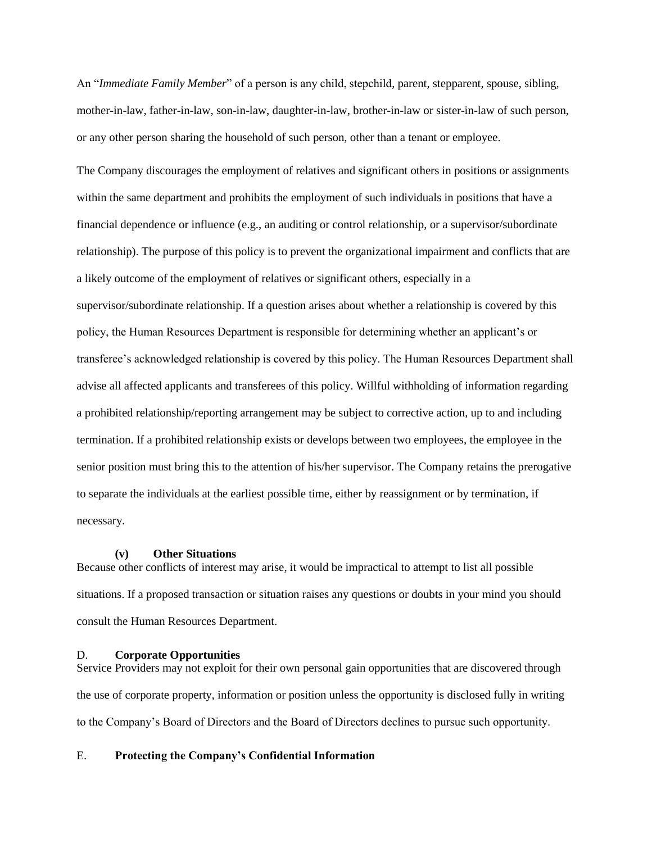An "*Immediate Family Member*" of a person is any child, stepchild, parent, stepparent, spouse, sibling, mother-in-law, father-in-law, son-in-law, daughter-in-law, brother-in-law or sister-in-law of such person, or any other person sharing the household of such person, other than a tenant or employee.

The Company discourages the employment of relatives and significant others in positions or assignments within the same department and prohibits the employment of such individuals in positions that have a financial dependence or influence (e.g., an auditing or control relationship, or a supervisor/subordinate relationship). The purpose of this policy is to prevent the organizational impairment and conflicts that are a likely outcome of the employment of relatives or significant others, especially in a supervisor/subordinate relationship. If a question arises about whether a relationship is covered by this policy, the Human Resources Department is responsible for determining whether an applicant's or transferee's acknowledged relationship is covered by this policy. The Human Resources Department shall advise all affected applicants and transferees of this policy. Willful withholding of information regarding a prohibited relationship/reporting arrangement may be subject to corrective action, up to and including termination. If a prohibited relationship exists or develops between two employees, the employee in the senior position must bring this to the attention of his/her supervisor. The Company retains the prerogative to separate the individuals at the earliest possible time, either by reassignment or by termination, if necessary.

#### **(v) Other Situations**

Because other conflicts of interest may arise, it would be impractical to attempt to list all possible situations. If a proposed transaction or situation raises any questions or doubts in your mind you should consult the Human Resources Department.

#### D. **Corporate Opportunities**

Service Providers may not exploit for their own personal gain opportunities that are discovered through the use of corporate property, information or position unless the opportunity is disclosed fully in writing to the Company's Board of Directors and the Board of Directors declines to pursue such opportunity.

## E. **Protecting the Company's Confidential Information**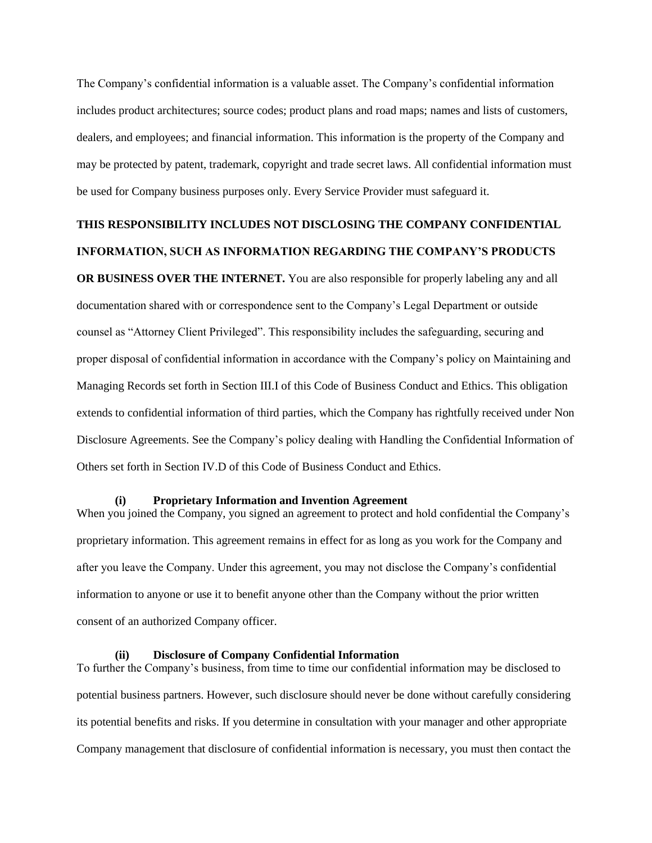The Company's confidential information is a valuable asset. The Company's confidential information includes product architectures; source codes; product plans and road maps; names and lists of customers, dealers, and employees; and financial information. This information is the property of the Company and may be protected by patent, trademark, copyright and trade secret laws. All confidential information must be used for Company business purposes only. Every Service Provider must safeguard it.

# **THIS RESPONSIBILITY INCLUDES NOT DISCLOSING THE COMPANY CONFIDENTIAL INFORMATION, SUCH AS INFORMATION REGARDING THE COMPANY'S PRODUCTS**

**OR BUSINESS OVER THE INTERNET.** You are also responsible for properly labeling any and all documentation shared with or correspondence sent to the Company's Legal Department or outside counsel as "Attorney Client Privileged". This responsibility includes the safeguarding, securing and proper disposal of confidential information in accordance with the Company's policy on Maintaining and Managing Records set forth in Section III.I of this Code of Business Conduct and Ethics. This obligation extends to confidential information of third parties, which the Company has rightfully received under Non Disclosure Agreements. See the Company's policy dealing with Handling the Confidential Information of Others set forth in Section IV.D of this Code of Business Conduct and Ethics.

### **(i) Proprietary Information and Invention Agreement**

When you joined the Company, you signed an agreement to protect and hold confidential the Company's proprietary information. This agreement remains in effect for as long as you work for the Company and after you leave the Company. Under this agreement, you may not disclose the Company's confidential information to anyone or use it to benefit anyone other than the Company without the prior written consent of an authorized Company officer.

## **(ii) Disclosure of Company Confidential Information**

To further the Company's business, from time to time our confidential information may be disclosed to potential business partners. However, such disclosure should never be done without carefully considering its potential benefits and risks. If you determine in consultation with your manager and other appropriate Company management that disclosure of confidential information is necessary, you must then contact the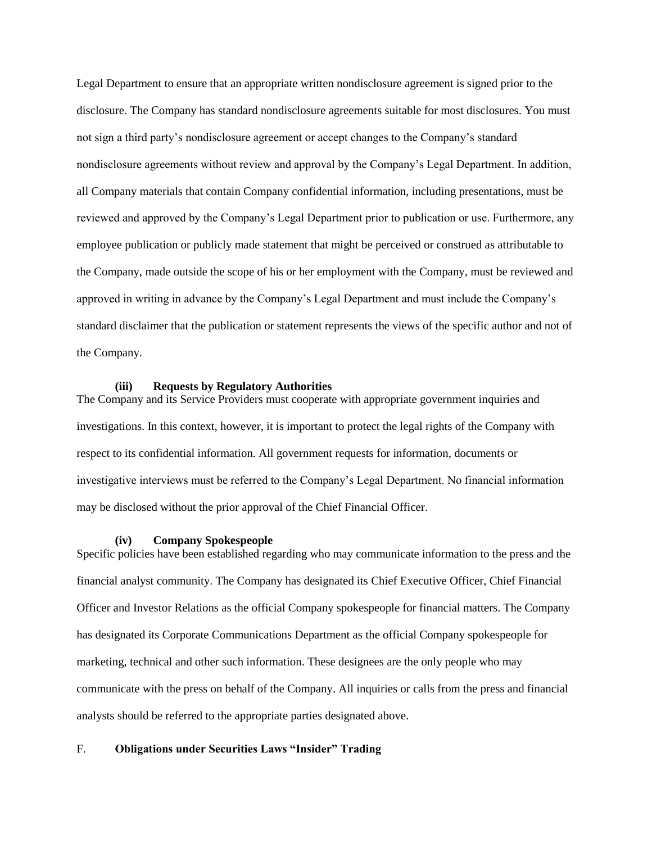Legal Department to ensure that an appropriate written nondisclosure agreement is signed prior to the disclosure. The Company has standard nondisclosure agreements suitable for most disclosures. You must not sign a third party's nondisclosure agreement or accept changes to the Company's standard nondisclosure agreements without review and approval by the Company's Legal Department. In addition, all Company materials that contain Company confidential information, including presentations, must be reviewed and approved by the Company's Legal Department prior to publication or use. Furthermore, any employee publication or publicly made statement that might be perceived or construed as attributable to the Company, made outside the scope of his or her employment with the Company, must be reviewed and approved in writing in advance by the Company's Legal Department and must include the Company's standard disclaimer that the publication or statement represents the views of the specific author and not of the Company.

## **(iii) Requests by Regulatory Authorities**

The Company and its Service Providers must cooperate with appropriate government inquiries and investigations. In this context, however, it is important to protect the legal rights of the Company with respect to its confidential information. All government requests for information, documents or investigative interviews must be referred to the Company's Legal Department. No financial information may be disclosed without the prior approval of the Chief Financial Officer.

#### **(iv) Company Spokespeople**

Specific policies have been established regarding who may communicate information to the press and the financial analyst community. The Company has designated its Chief Executive Officer, Chief Financial Officer and Investor Relations as the official Company spokespeople for financial matters. The Company has designated its Corporate Communications Department as the official Company spokespeople for marketing, technical and other such information. These designees are the only people who may communicate with the press on behalf of the Company. All inquiries or calls from the press and financial analysts should be referred to the appropriate parties designated above.

## F. **Obligations under Securities Laws "Insider" Trading**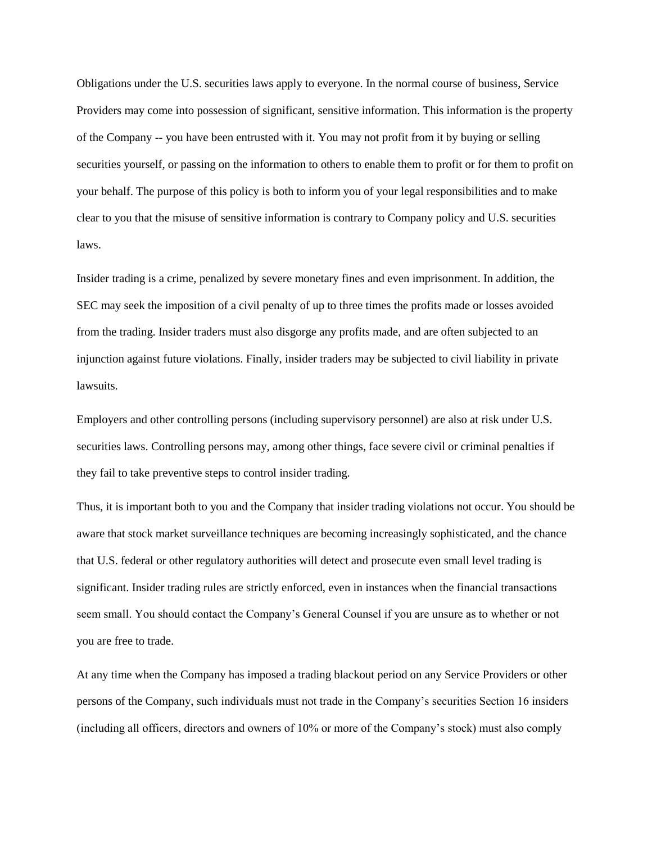Obligations under the U.S. securities laws apply to everyone. In the normal course of business, Service Providers may come into possession of significant, sensitive information. This information is the property of the Company -- you have been entrusted with it. You may not profit from it by buying or selling securities yourself, or passing on the information to others to enable them to profit or for them to profit on your behalf. The purpose of this policy is both to inform you of your legal responsibilities and to make clear to you that the misuse of sensitive information is contrary to Company policy and U.S. securities laws.

Insider trading is a crime, penalized by severe monetary fines and even imprisonment. In addition, the SEC may seek the imposition of a civil penalty of up to three times the profits made or losses avoided from the trading. Insider traders must also disgorge any profits made, and are often subjected to an injunction against future violations. Finally, insider traders may be subjected to civil liability in private lawsuits.

Employers and other controlling persons (including supervisory personnel) are also at risk under U.S. securities laws. Controlling persons may, among other things, face severe civil or criminal penalties if they fail to take preventive steps to control insider trading.

Thus, it is important both to you and the Company that insider trading violations not occur. You should be aware that stock market surveillance techniques are becoming increasingly sophisticated, and the chance that U.S. federal or other regulatory authorities will detect and prosecute even small level trading is significant. Insider trading rules are strictly enforced, even in instances when the financial transactions seem small. You should contact the Company's General Counsel if you are unsure as to whether or not you are free to trade.

At any time when the Company has imposed a trading blackout period on any Service Providers or other persons of the Company, such individuals must not trade in the Company's securities Section 16 insiders (including all officers, directors and owners of 10% or more of the Company's stock) must also comply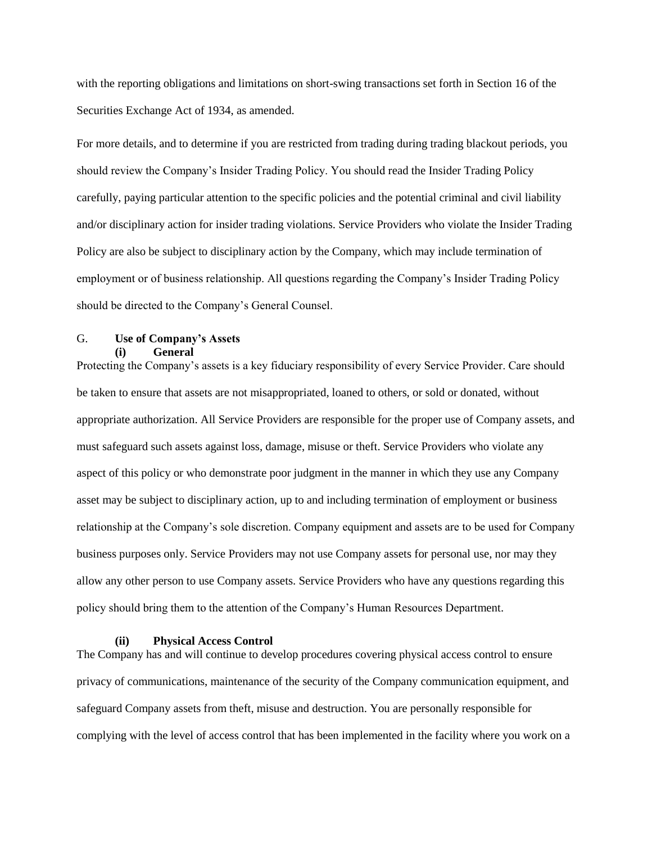with the reporting obligations and limitations on short-swing transactions set forth in Section 16 of the Securities Exchange Act of 1934, as amended.

For more details, and to determine if you are restricted from trading during trading blackout periods, you should review the Company's Insider Trading Policy. You should read the Insider Trading Policy carefully, paying particular attention to the specific policies and the potential criminal and civil liability and/or disciplinary action for insider trading violations. Service Providers who violate the Insider Trading Policy are also be subject to disciplinary action by the Company, which may include termination of employment or of business relationship. All questions regarding the Company's Insider Trading Policy should be directed to the Company's General Counsel.

## G. **Use of Company's Assets**

**(i) General**

Protecting the Company's assets is a key fiduciary responsibility of every Service Provider. Care should be taken to ensure that assets are not misappropriated, loaned to others, or sold or donated, without appropriate authorization. All Service Providers are responsible for the proper use of Company assets, and must safeguard such assets against loss, damage, misuse or theft. Service Providers who violate any aspect of this policy or who demonstrate poor judgment in the manner in which they use any Company asset may be subject to disciplinary action, up to and including termination of employment or business relationship at the Company's sole discretion. Company equipment and assets are to be used for Company business purposes only. Service Providers may not use Company assets for personal use, nor may they allow any other person to use Company assets. Service Providers who have any questions regarding this policy should bring them to the attention of the Company's Human Resources Department.

#### **(ii) Physical Access Control**

The Company has and will continue to develop procedures covering physical access control to ensure privacy of communications, maintenance of the security of the Company communication equipment, and safeguard Company assets from theft, misuse and destruction. You are personally responsible for complying with the level of access control that has been implemented in the facility where you work on a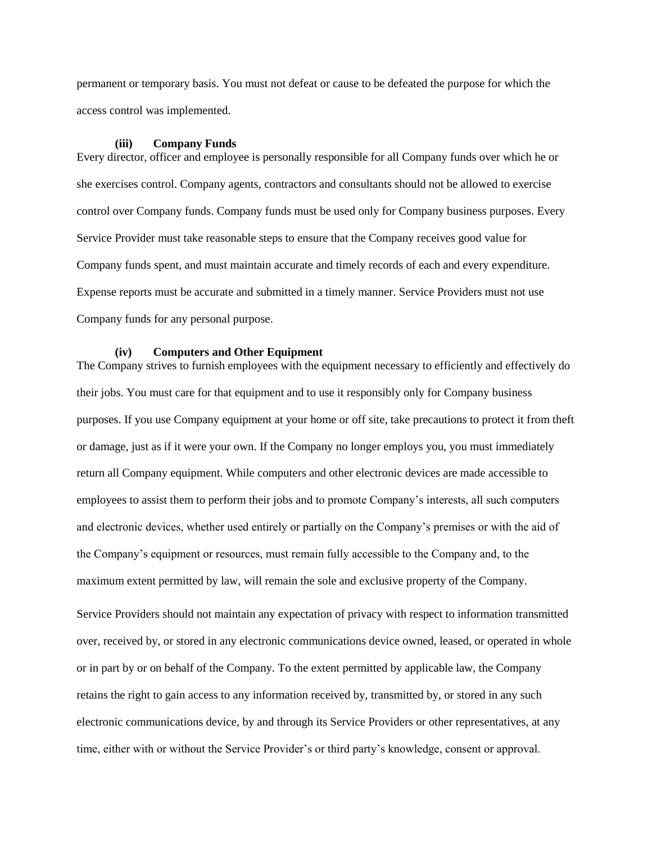permanent or temporary basis. You must not defeat or cause to be defeated the purpose for which the access control was implemented.

#### **(iii) Company Funds**

Every director, officer and employee is personally responsible for all Company funds over which he or she exercises control. Company agents, contractors and consultants should not be allowed to exercise control over Company funds. Company funds must be used only for Company business purposes. Every Service Provider must take reasonable steps to ensure that the Company receives good value for Company funds spent, and must maintain accurate and timely records of each and every expenditure. Expense reports must be accurate and submitted in a timely manner. Service Providers must not use Company funds for any personal purpose.

#### **(iv) Computers and Other Equipment**

The Company strives to furnish employees with the equipment necessary to efficiently and effectively do their jobs. You must care for that equipment and to use it responsibly only for Company business purposes. If you use Company equipment at your home or off site, take precautions to protect it from theft or damage, just as if it were your own. If the Company no longer employs you, you must immediately return all Company equipment. While computers and other electronic devices are made accessible to employees to assist them to perform their jobs and to promote Company's interests, all such computers and electronic devices, whether used entirely or partially on the Company's premises or with the aid of the Company's equipment or resources, must remain fully accessible to the Company and, to the maximum extent permitted by law, will remain the sole and exclusive property of the Company.

Service Providers should not maintain any expectation of privacy with respect to information transmitted over, received by, or stored in any electronic communications device owned, leased, or operated in whole or in part by or on behalf of the Company. To the extent permitted by applicable law, the Company retains the right to gain access to any information received by, transmitted by, or stored in any such electronic communications device, by and through its Service Providers or other representatives, at any time, either with or without the Service Provider's or third party's knowledge, consent or approval.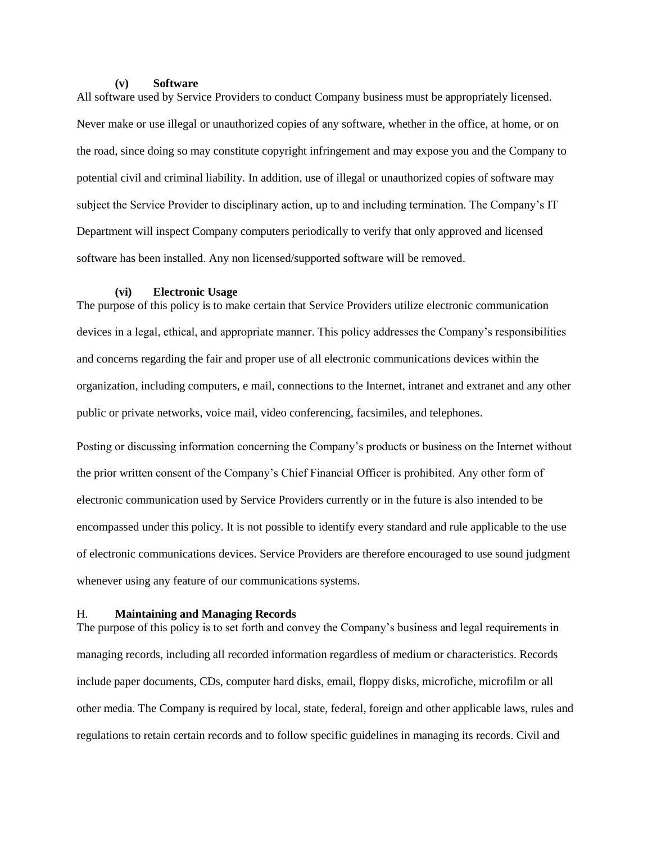#### **(v) Software**

All software used by Service Providers to conduct Company business must be appropriately licensed. Never make or use illegal or unauthorized copies of any software, whether in the office, at home, or on the road, since doing so may constitute copyright infringement and may expose you and the Company to potential civil and criminal liability. In addition, use of illegal or unauthorized copies of software may subject the Service Provider to disciplinary action, up to and including termination. The Company's IT Department will inspect Company computers periodically to verify that only approved and licensed software has been installed. Any non licensed/supported software will be removed.

#### **(vi) Electronic Usage**

The purpose of this policy is to make certain that Service Providers utilize electronic communication devices in a legal, ethical, and appropriate manner. This policy addresses the Company's responsibilities and concerns regarding the fair and proper use of all electronic communications devices within the organization, including computers, e mail, connections to the Internet, intranet and extranet and any other public or private networks, voice mail, video conferencing, facsimiles, and telephones.

Posting or discussing information concerning the Company's products or business on the Internet without the prior written consent of the Company's Chief Financial Officer is prohibited. Any other form of electronic communication used by Service Providers currently or in the future is also intended to be encompassed under this policy. It is not possible to identify every standard and rule applicable to the use of electronic communications devices. Service Providers are therefore encouraged to use sound judgment whenever using any feature of our communications systems.

#### H. **Maintaining and Managing Records**

The purpose of this policy is to set forth and convey the Company's business and legal requirements in managing records, including all recorded information regardless of medium or characteristics. Records include paper documents, CDs, computer hard disks, email, floppy disks, microfiche, microfilm or all other media. The Company is required by local, state, federal, foreign and other applicable laws, rules and regulations to retain certain records and to follow specific guidelines in managing its records. Civil and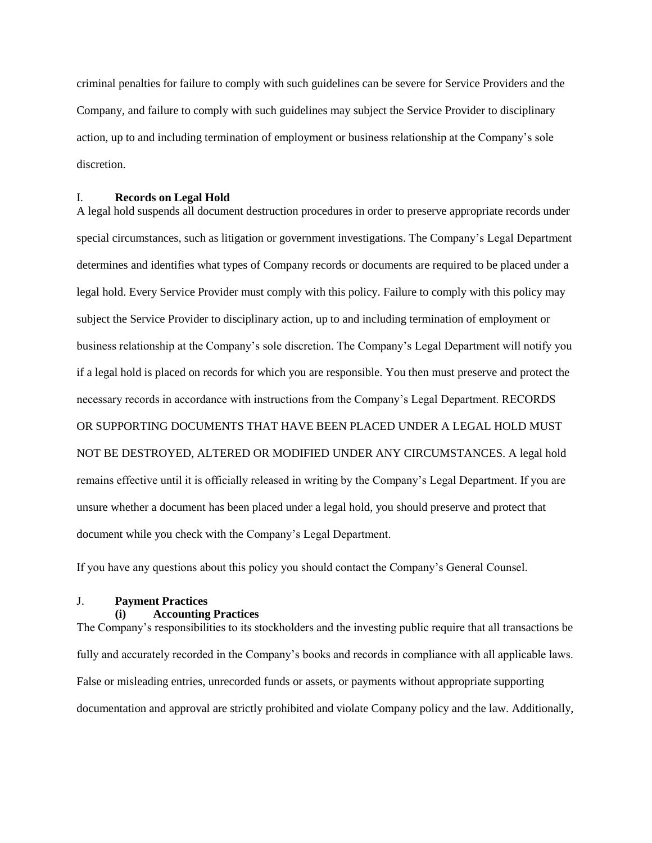criminal penalties for failure to comply with such guidelines can be severe for Service Providers and the Company, and failure to comply with such guidelines may subject the Service Provider to disciplinary action, up to and including termination of employment or business relationship at the Company's sole discretion.

## I. **Records on Legal Hold**

A legal hold suspends all document destruction procedures in order to preserve appropriate records under special circumstances, such as litigation or government investigations. The Company's Legal Department determines and identifies what types of Company records or documents are required to be placed under a legal hold. Every Service Provider must comply with this policy. Failure to comply with this policy may subject the Service Provider to disciplinary action, up to and including termination of employment or business relationship at the Company's sole discretion. The Company's Legal Department will notify you if a legal hold is placed on records for which you are responsible. You then must preserve and protect the necessary records in accordance with instructions from the Company's Legal Department. RECORDS OR SUPPORTING DOCUMENTS THAT HAVE BEEN PLACED UNDER A LEGAL HOLD MUST NOT BE DESTROYED, ALTERED OR MODIFIED UNDER ANY CIRCUMSTANCES. A legal hold remains effective until it is officially released in writing by the Company's Legal Department. If you are unsure whether a document has been placed under a legal hold, you should preserve and protect that document while you check with the Company's Legal Department.

If you have any questions about this policy you should contact the Company's General Counsel.

## J. **Payment Practices**

## **(i) Accounting Practices**

The Company's responsibilities to its stockholders and the investing public require that all transactions be fully and accurately recorded in the Company's books and records in compliance with all applicable laws. False or misleading entries, unrecorded funds or assets, or payments without appropriate supporting documentation and approval are strictly prohibited and violate Company policy and the law. Additionally,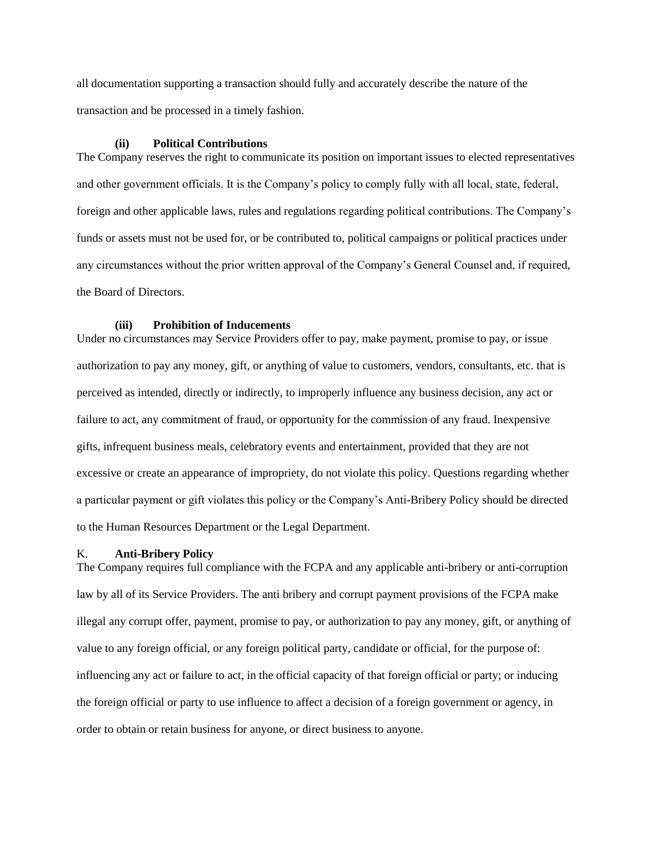all documentation supporting a transaction should fully and accurately describe the nature of the transaction and be processed in a timely fashion.

#### **(ii) Political Contributions**

The Company reserves the right to communicate its position on important issues to elected representatives and other government officials. It is the Company's policy to comply fully with all local, state, federal, foreign and other applicable laws, rules and regulations regarding political contributions. The Company's funds or assets must not be used for, or be contributed to, political campaigns or political practices under any circumstances without the prior written approval of the Company's General Counsel and, if required, the Board of Directors.

## **(iii) Prohibition of Inducements**

Under no circumstances may Service Providers offer to pay, make payment, promise to pay, or issue authorization to pay any money, gift, or anything of value to customers, vendors, consultants, etc. that is perceived as intended, directly or indirectly, to improperly influence any business decision, any act or failure to act, any commitment of fraud, or opportunity for the commission of any fraud. Inexpensive gifts, infrequent business meals, celebratory events and entertainment, provided that they are not excessive or create an appearance of impropriety, do not violate this policy. Questions regarding whether a particular payment or gift violates this policy or the Company's Anti-Bribery Policy should be directed to the Human Resources Department or the Legal Department.

#### K. **Anti-Bribery Policy**

The Company requires full compliance with the FCPA and any applicable anti-bribery or anti-corruption law by all of its Service Providers. The anti bribery and corrupt payment provisions of the FCPA make illegal any corrupt offer, payment, promise to pay, or authorization to pay any money, gift, or anything of value to any foreign official, or any foreign political party, candidate or official, for the purpose of: influencing any act or failure to act, in the official capacity of that foreign official or party; or inducing the foreign official or party to use influence to affect a decision of a foreign government or agency, in order to obtain or retain business for anyone, or direct business to anyone.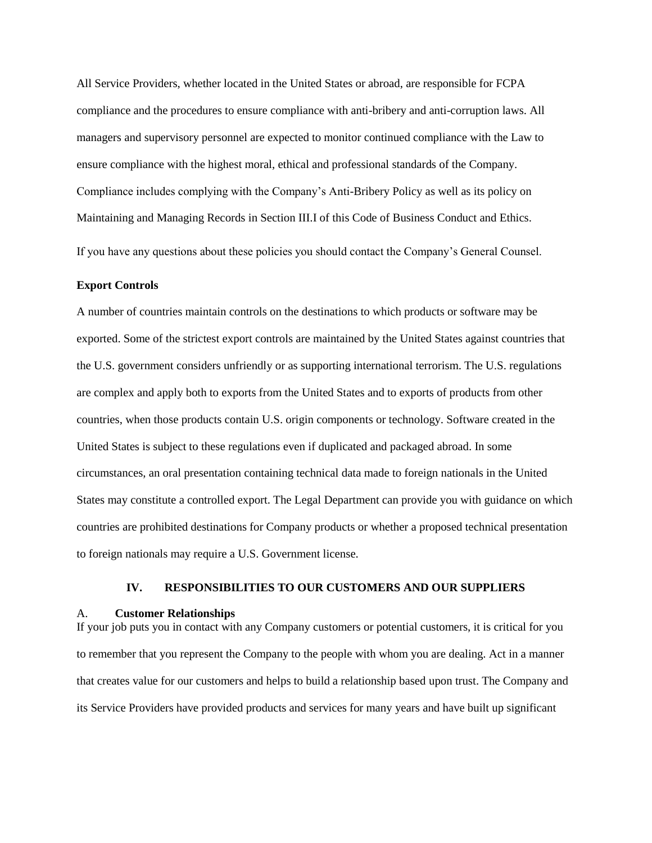All Service Providers, whether located in the United States or abroad, are responsible for FCPA compliance and the procedures to ensure compliance with anti-bribery and anti-corruption laws. All managers and supervisory personnel are expected to monitor continued compliance with the Law to ensure compliance with the highest moral, ethical and professional standards of the Company. Compliance includes complying with the Company's Anti-Bribery Policy as well as its policy on Maintaining and Managing Records in Section III.I of this Code of Business Conduct and Ethics.

If you have any questions about these policies you should contact the Company's General Counsel.

## **Export Controls**

A number of countries maintain controls on the destinations to which products or software may be exported. Some of the strictest export controls are maintained by the United States against countries that the U.S. government considers unfriendly or as supporting international terrorism. The U.S. regulations are complex and apply both to exports from the United States and to exports of products from other countries, when those products contain U.S. origin components or technology. Software created in the United States is subject to these regulations even if duplicated and packaged abroad. In some circumstances, an oral presentation containing technical data made to foreign nationals in the United States may constitute a controlled export. The Legal Department can provide you with guidance on which countries are prohibited destinations for Company products or whether a proposed technical presentation to foreign nationals may require a U.S. Government license.

#### **IV. RESPONSIBILITIES TO OUR CUSTOMERS AND OUR SUPPLIERS**

#### A. **Customer Relationships**

If your job puts you in contact with any Company customers or potential customers, it is critical for you to remember that you represent the Company to the people with whom you are dealing. Act in a manner that creates value for our customers and helps to build a relationship based upon trust. The Company and its Service Providers have provided products and services for many years and have built up significant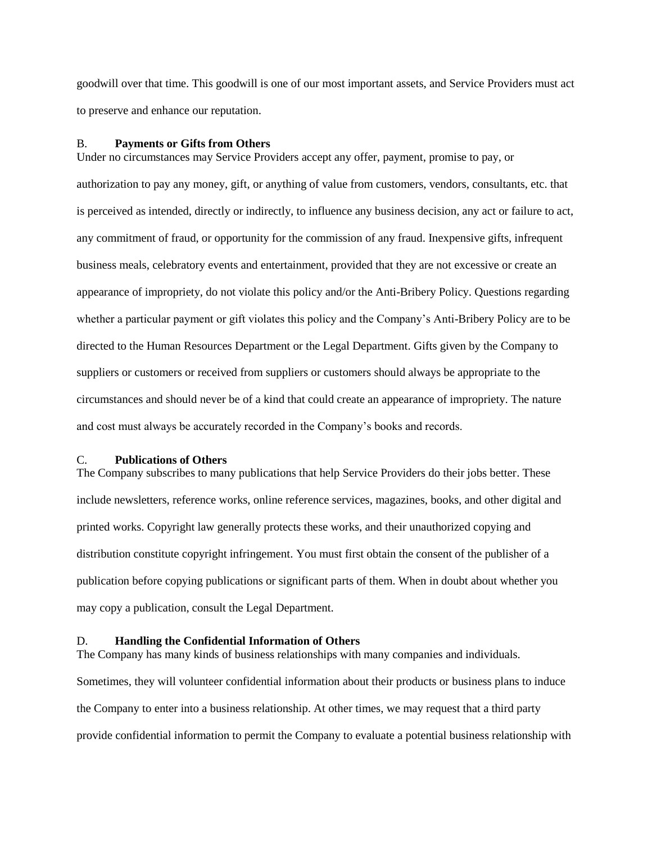goodwill over that time. This goodwill is one of our most important assets, and Service Providers must act to preserve and enhance our reputation.

#### B. **Payments or Gifts from Others**

Under no circumstances may Service Providers accept any offer, payment, promise to pay, or authorization to pay any money, gift, or anything of value from customers, vendors, consultants, etc. that is perceived as intended, directly or indirectly, to influence any business decision, any act or failure to act, any commitment of fraud, or opportunity for the commission of any fraud. Inexpensive gifts, infrequent business meals, celebratory events and entertainment, provided that they are not excessive or create an appearance of impropriety, do not violate this policy and/or the Anti-Bribery Policy. Questions regarding whether a particular payment or gift violates this policy and the Company's Anti-Bribery Policy are to be directed to the Human Resources Department or the Legal Department. Gifts given by the Company to suppliers or customers or received from suppliers or customers should always be appropriate to the circumstances and should never be of a kind that could create an appearance of impropriety. The nature and cost must always be accurately recorded in the Company's books and records.

#### C. **Publications of Others**

The Company subscribes to many publications that help Service Providers do their jobs better. These include newsletters, reference works, online reference services, magazines, books, and other digital and printed works. Copyright law generally protects these works, and their unauthorized copying and distribution constitute copyright infringement. You must first obtain the consent of the publisher of a publication before copying publications or significant parts of them. When in doubt about whether you may copy a publication, consult the Legal Department.

## D. **Handling the Confidential Information of Others**

The Company has many kinds of business relationships with many companies and individuals. Sometimes, they will volunteer confidential information about their products or business plans to induce the Company to enter into a business relationship. At other times, we may request that a third party provide confidential information to permit the Company to evaluate a potential business relationship with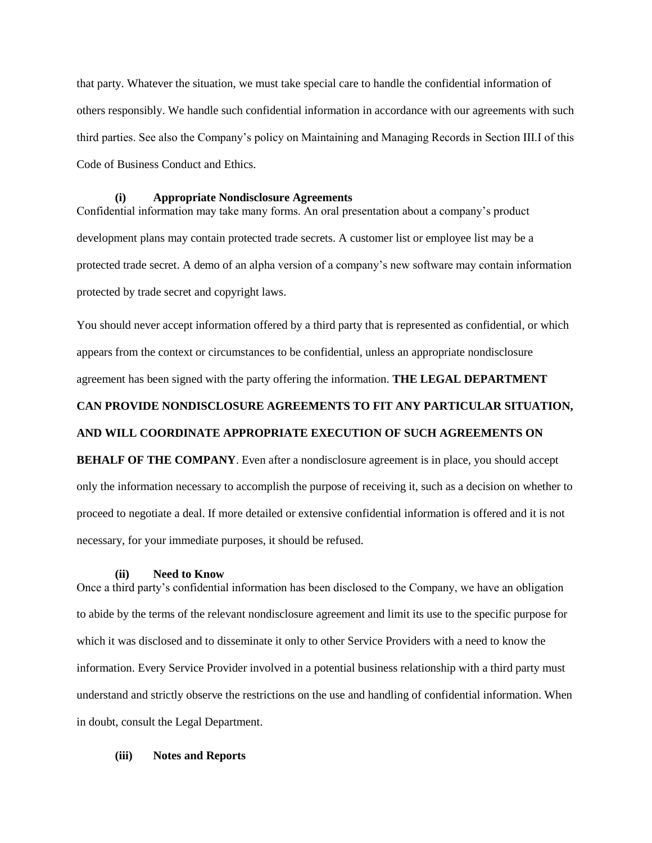that party. Whatever the situation, we must take special care to handle the confidential information of others responsibly. We handle such confidential information in accordance with our agreements with such third parties. See also the Company's policy on Maintaining and Managing Records in Section III.I of this Code of Business Conduct and Ethics.

#### **(i) Appropriate Nondisclosure Agreements**

Confidential information may take many forms. An oral presentation about a company's product development plans may contain protected trade secrets. A customer list or employee list may be a protected trade secret. A demo of an alpha version of a company's new software may contain information protected by trade secret and copyright laws.

You should never accept information offered by a third party that is represented as confidential, or which appears from the context or circumstances to be confidential, unless an appropriate nondisclosure agreement has been signed with the party offering the information. **THE LEGAL DEPARTMENT** 

## **CAN PROVIDE NONDISCLOSURE AGREEMENTS TO FIT ANY PARTICULAR SITUATION,**

#### **AND WILL COORDINATE APPROPRIATE EXECUTION OF SUCH AGREEMENTS ON**

**BEHALF OF THE COMPANY**. Even after a nondisclosure agreement is in place, you should accept only the information necessary to accomplish the purpose of receiving it, such as a decision on whether to proceed to negotiate a deal. If more detailed or extensive confidential information is offered and it is not necessary, for your immediate purposes, it should be refused.

#### **(ii) Need to Know**

Once a third party's confidential information has been disclosed to the Company, we have an obligation to abide by the terms of the relevant nondisclosure agreement and limit its use to the specific purpose for which it was disclosed and to disseminate it only to other Service Providers with a need to know the information. Every Service Provider involved in a potential business relationship with a third party must understand and strictly observe the restrictions on the use and handling of confidential information. When in doubt, consult the Legal Department.

## **(iii) Notes and Reports**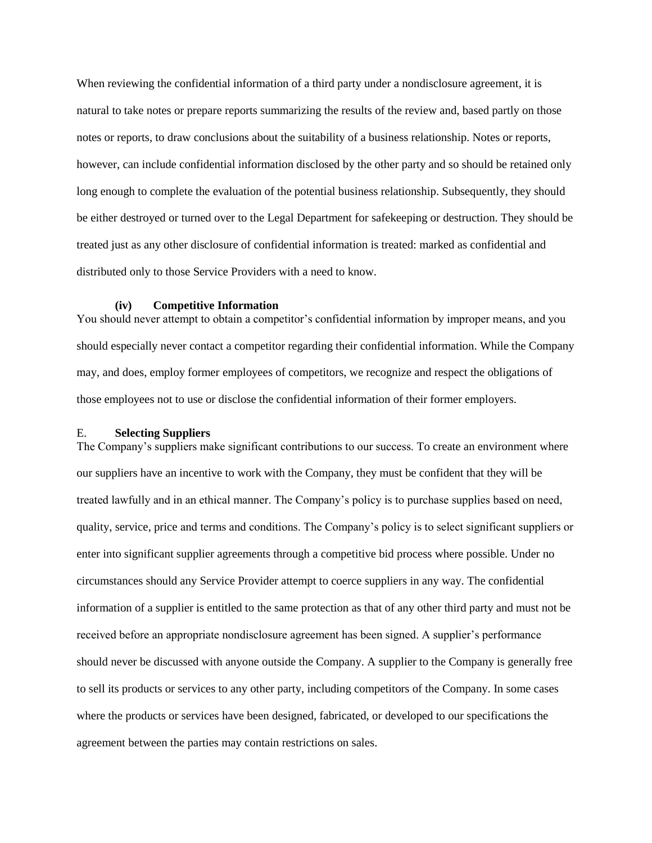When reviewing the confidential information of a third party under a nondisclosure agreement, it is natural to take notes or prepare reports summarizing the results of the review and, based partly on those notes or reports, to draw conclusions about the suitability of a business relationship. Notes or reports, however, can include confidential information disclosed by the other party and so should be retained only long enough to complete the evaluation of the potential business relationship. Subsequently, they should be either destroyed or turned over to the Legal Department for safekeeping or destruction. They should be treated just as any other disclosure of confidential information is treated: marked as confidential and distributed only to those Service Providers with a need to know.

## **(iv) Competitive Information**

You should never attempt to obtain a competitor's confidential information by improper means, and you should especially never contact a competitor regarding their confidential information. While the Company may, and does, employ former employees of competitors, we recognize and respect the obligations of those employees not to use or disclose the confidential information of their former employers.

#### E. **Selecting Suppliers**

The Company's suppliers make significant contributions to our success. To create an environment where our suppliers have an incentive to work with the Company, they must be confident that they will be treated lawfully and in an ethical manner. The Company's policy is to purchase supplies based on need, quality, service, price and terms and conditions. The Company's policy is to select significant suppliers or enter into significant supplier agreements through a competitive bid process where possible. Under no circumstances should any Service Provider attempt to coerce suppliers in any way. The confidential information of a supplier is entitled to the same protection as that of any other third party and must not be received before an appropriate nondisclosure agreement has been signed. A supplier's performance should never be discussed with anyone outside the Company. A supplier to the Company is generally free to sell its products or services to any other party, including competitors of the Company. In some cases where the products or services have been designed, fabricated, or developed to our specifications the agreement between the parties may contain restrictions on sales.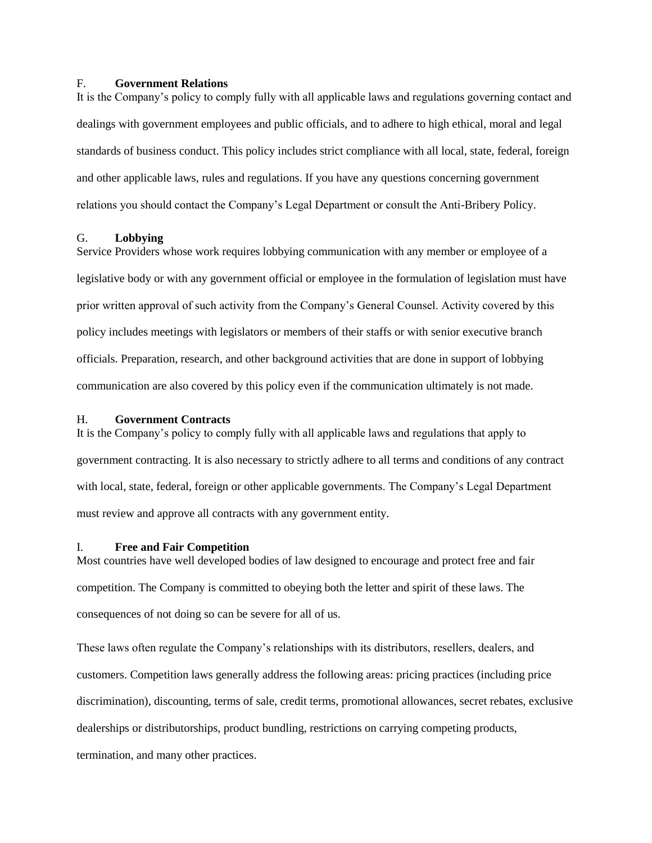#### F. **Government Relations**

It is the Company's policy to comply fully with all applicable laws and regulations governing contact and dealings with government employees and public officials, and to adhere to high ethical, moral and legal standards of business conduct. This policy includes strict compliance with all local, state, federal, foreign and other applicable laws, rules and regulations. If you have any questions concerning government relations you should contact the Company's Legal Department or consult the Anti-Bribery Policy.

#### G. **Lobbying**

Service Providers whose work requires lobbying communication with any member or employee of a legislative body or with any government official or employee in the formulation of legislation must have prior written approval of such activity from the Company's General Counsel. Activity covered by this policy includes meetings with legislators or members of their staffs or with senior executive branch officials. Preparation, research, and other background activities that are done in support of lobbying communication are also covered by this policy even if the communication ultimately is not made.

## H. **Government Contracts**

It is the Company's policy to comply fully with all applicable laws and regulations that apply to government contracting. It is also necessary to strictly adhere to all terms and conditions of any contract with local, state, federal, foreign or other applicable governments. The Company's Legal Department must review and approve all contracts with any government entity.

#### I. **Free and Fair Competition**

Most countries have well developed bodies of law designed to encourage and protect free and fair competition. The Company is committed to obeying both the letter and spirit of these laws. The consequences of not doing so can be severe for all of us.

These laws often regulate the Company's relationships with its distributors, resellers, dealers, and customers. Competition laws generally address the following areas: pricing practices (including price discrimination), discounting, terms of sale, credit terms, promotional allowances, secret rebates, exclusive dealerships or distributorships, product bundling, restrictions on carrying competing products, termination, and many other practices.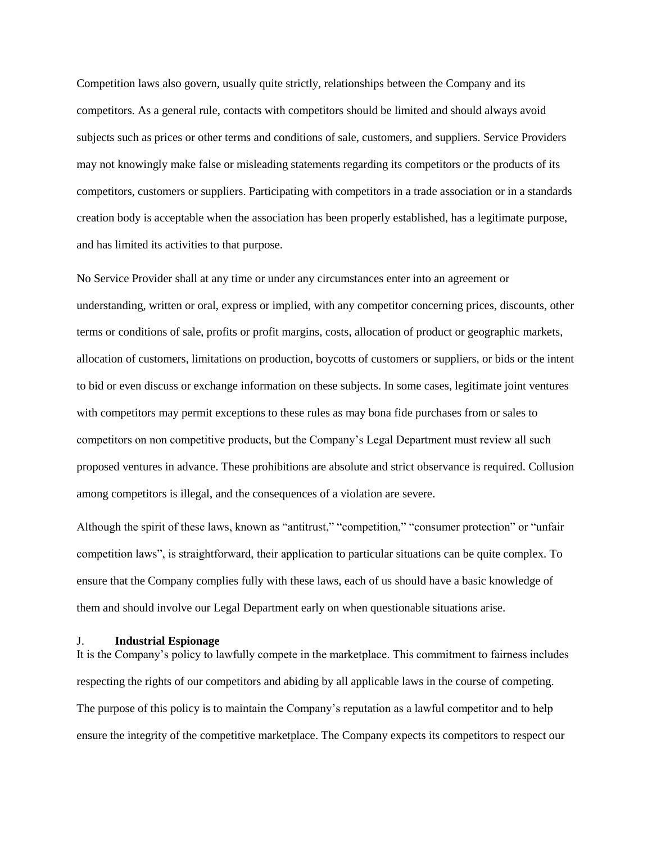Competition laws also govern, usually quite strictly, relationships between the Company and its competitors. As a general rule, contacts with competitors should be limited and should always avoid subjects such as prices or other terms and conditions of sale, customers, and suppliers. Service Providers may not knowingly make false or misleading statements regarding its competitors or the products of its competitors, customers or suppliers. Participating with competitors in a trade association or in a standards creation body is acceptable when the association has been properly established, has a legitimate purpose, and has limited its activities to that purpose.

No Service Provider shall at any time or under any circumstances enter into an agreement or understanding, written or oral, express or implied, with any competitor concerning prices, discounts, other terms or conditions of sale, profits or profit margins, costs, allocation of product or geographic markets, allocation of customers, limitations on production, boycotts of customers or suppliers, or bids or the intent to bid or even discuss or exchange information on these subjects. In some cases, legitimate joint ventures with competitors may permit exceptions to these rules as may bona fide purchases from or sales to competitors on non competitive products, but the Company's Legal Department must review all such proposed ventures in advance. These prohibitions are absolute and strict observance is required. Collusion among competitors is illegal, and the consequences of a violation are severe.

Although the spirit of these laws, known as "antitrust," "competition," "consumer protection" or "unfair competition laws", is straightforward, their application to particular situations can be quite complex. To ensure that the Company complies fully with these laws, each of us should have a basic knowledge of them and should involve our Legal Department early on when questionable situations arise.

#### J. **Industrial Espionage**

It is the Company's policy to lawfully compete in the marketplace. This commitment to fairness includes respecting the rights of our competitors and abiding by all applicable laws in the course of competing. The purpose of this policy is to maintain the Company's reputation as a lawful competitor and to help ensure the integrity of the competitive marketplace. The Company expects its competitors to respect our